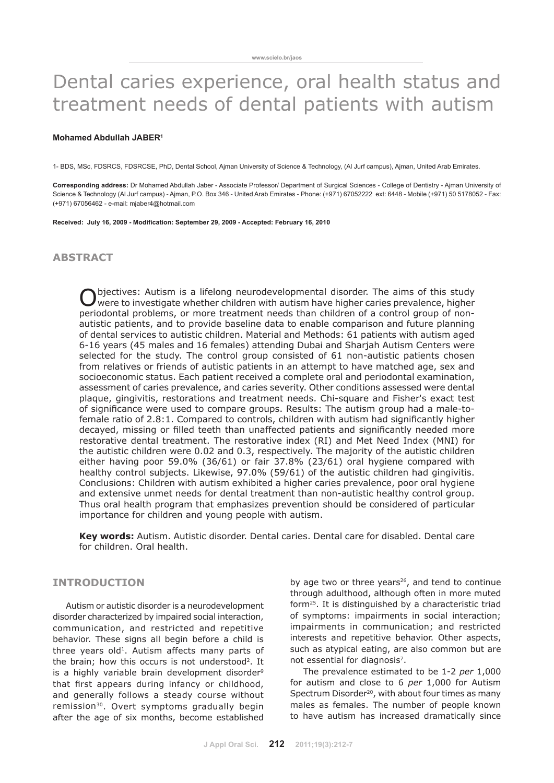# Dental caries experience, oral health status and treatment needs of dental patients with autism

#### **Mohamed Abdullah JABER<sup>1</sup>**

1- BDS, MSc, FDSRCS, FDSRCSE, PhD, Dental School, Ajman University of Science & Technology, (Al Jurf campus), Ajman, United Arab Emirates.

**Corresponding address:** Dr Mohamed Abdullah Jaber - Associate Professor/ Department of Surgical Sciences - College of Dentistry - Ajman University of Science & Technology (Al Jurf campus) - Ajman, P.O. Box 346 - United Arab Emirates - Phone: (+971) 67052222 ext: 6448 - Mobile (+971) 50 5178052 - Fax: (+971) 67056462 - e-mail: mjaber4@hotmail.com

**Received: July 16, 2009 - Modification: September 29, 2009 - Accepted: February 16, 2010**

## **abstract**

Objectives: Autism is a lifelong neurodevelopmental disorder. The aims of this study were to investigate whether children with autism have higher caries prevalence, higher periodontal problems, or more treatment needs than children of a control group of nonautistic patients, and to provide baseline data to enable comparison and future planning of dental services to autistic children. Material and Methods: 61 patients with autism aged 6-16 years (45 males and 16 females) attending Dubai and Sharjah Autism Centers were selected for the study. The control group consisted of 61 non-autistic patients chosen from relatives or friends of autistic patients in an attempt to have matched age, sex and socioeconomic status. Each patient received a complete oral and periodontal examination, assessment of caries prevalence, and caries severity. Other conditions assessed were dental plaque, gingivitis, restorations and treatment needs. Chi-square and Fisher's exact test of significance were used to compare groups. Results: The autism group had a male-tofemale ratio of 2.8:1. Compared to controls, children with autism had significantly higher decayed, missing or filled teeth than unaffected patients and significantly needed more restorative dental treatment. The restorative index (RI) and Met Need Index (MNI) for the autistic children were 0.02 and 0.3, respectively. The majority of the autistic children either having poor 59.0% (36/61) or fair 37.8% (23/61) oral hygiene compared with healthy control subjects. Likewise, 97.0% (59/61) of the autistic children had gingivitis. Conclusions: Children with autism exhibited a higher caries prevalence, poor oral hygiene and extensive unmet needs for dental treatment than non-autistic healthy control group. Thus oral health program that emphasizes prevention should be considered of particular importance for children and young people with autism.

**Key words:** Autism. Autistic disorder. Dental caries. Dental care for disabled. Dental care for children. Oral health.

## **INTRODUCTION**

Autism or autistic disorder is a neurodevelopment disorder characterized by impaired social interaction, communication, and restricted and repetitive behavior. These signs all begin before a child is three years old<sup>1</sup>. Autism affects many parts of the brain; how this occurs is not understood<sup>2</sup>. It is a highly variable brain development disorder<sup>9</sup> that first appears during infancy or childhood, and generally follows a steady course without remission<sup>30</sup>. Overt symptoms gradually begin after the age of six months, become established by age two or three years<sup>26</sup>, and tend to continue through adulthood, although often in more muted form25. It is distinguished by a characteristic triad of symptoms: impairments in social interaction; impairments in communication; and restricted interests and repetitive behavior. Other aspects, such as atypical eating, are also common but are not essential for diagnosis<sup>7</sup>.

The prevalence estimated to be 1-2 *per* 1,000 for autism and close to 6 *per* 1,000 for Autism Spectrum Disorder<sup>20</sup>, with about four times as many males as females. The number of people known to have autism has increased dramatically since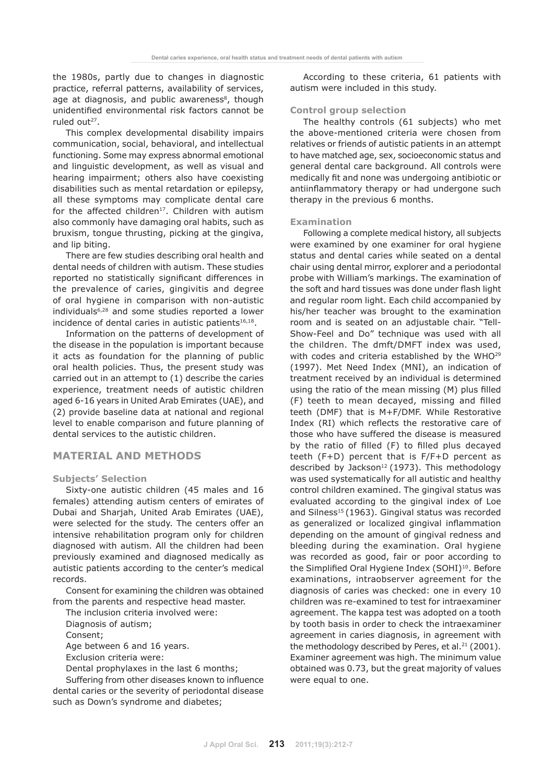the 1980s, partly due to changes in diagnostic practice, referral patterns, availability of services, age at diagnosis, and public awareness<sup>8</sup>, though unidentified environmental risk factors cannot be ruled out $27$ .

This complex developmental disability impairs communication, social, behavioral, and intellectual functioning. Some may express abnormal emotional and linguistic development, as well as visual and hearing impairment; others also have coexisting disabilities such as mental retardation or epilepsy, all these symptoms may complicate dental care for the affected children<sup>17</sup>. Children with autism also commonly have damaging oral habits, such as bruxism, tongue thrusting, picking at the gingiva, and lip biting.

There are few studies describing oral health and dental needs of children with autism. These studies reported no statistically significant differences in the prevalence of caries, gingivitis and degree of oral hygiene in comparison with non-autistic individuals6,28 and some studies reported a lower incidence of dental caries in autistic patients $16,18$ .

Information on the patterns of development of the disease in the population is important because it acts as foundation for the planning of public oral health policies. Thus, the present study was carried out in an attempt to (1) describe the caries experience, treatment needs of autistic children aged 6-16 years in United Arab Emirates (UAE), and (2) provide baseline data at national and regional level to enable comparison and future planning of dental services to the autistic children.

## **MATERIAL AND METHODS**

## **Subjects' Selection**

Sixty-one autistic children (45 males and 16 females) attending autism centers of emirates of Dubai and Sharjah, United Arab Emirates (UAE), were selected for the study. The centers offer an intensive rehabilitation program only for children diagnosed with autism. All the children had been previously examined and diagnosed medically as autistic patients according to the center's medical records.

Consent for examining the children was obtained from the parents and respective head master.

The inclusion criteria involved were:

Diagnosis of autism;

Consent;

Age between 6 and 16 years.

Exclusion criteria were:

Dental prophylaxes in the last 6 months;

Suffering from other diseases known to influence dental caries or the severity of periodontal disease such as Down's syndrome and diabetes;

According to these criteria, 61 patients with autism were included in this study.

## **Control group selection**

The healthy controls (61 subjects) who met the above-mentioned criteria were chosen from relatives or friends of autistic patients in an attempt to have matched age, sex, socioeconomic status and general dental care background. All controls were medically fit and none was undergoing antibiotic or antiinflammatory therapy or had undergone such therapy in the previous 6 months.

#### **Examination**

Following a complete medical history, all subjects were examined by one examiner for oral hygiene status and dental caries while seated on a dental chair using dental mirror, explorer and a periodontal probe with William's markings. The examination of the soft and hard tissues was done under flash light and regular room light. Each child accompanied by his/her teacher was brought to the examination room and is seated on an adjustable chair. "Tell-Show-Feel and Do" technique was used with all the children. The dmft/DMFT index was used, with codes and criteria established by the WHO<sup>29</sup> (1997). Met Need Index (MNI), an indication of treatment received by an individual is determined using the ratio of the mean missing (M) plus filled (F) teeth to mean decayed, missing and filled teeth (DMF) that is M+F/DMF. While Restorative Index (RI) which reflects the restorative care of those who have suffered the disease is measured by the ratio of filled (F) to filled plus decayed teeth (F+D) percent that is F/F+D percent as described by Jackson<sup>12</sup> (1973). This methodology was used systematically for all autistic and healthy control children examined. The gingival status was evaluated according to the gingival index of Loe and Silness<sup>15</sup> (1963). Gingival status was recorded as generalized or localized gingival inflammation depending on the amount of gingival redness and bleeding during the examination. Oral hygiene was recorded as good, fair or poor according to the Simplified Oral Hygiene Index (SOHI)<sup>10</sup>. Before examinations, intraobserver agreement for the diagnosis of caries was checked: one in every 10 children was re-examined to test for intraexaminer agreement. The kappa test was adopted on a tooth by tooth basis in order to check the intraexaminer agreement in caries diagnosis, in agreement with the methodology described by Peres, et al.<sup>21</sup> (2001). Examiner agreement was high. The minimum value obtained was 0.73, but the great majority of values were equal to one.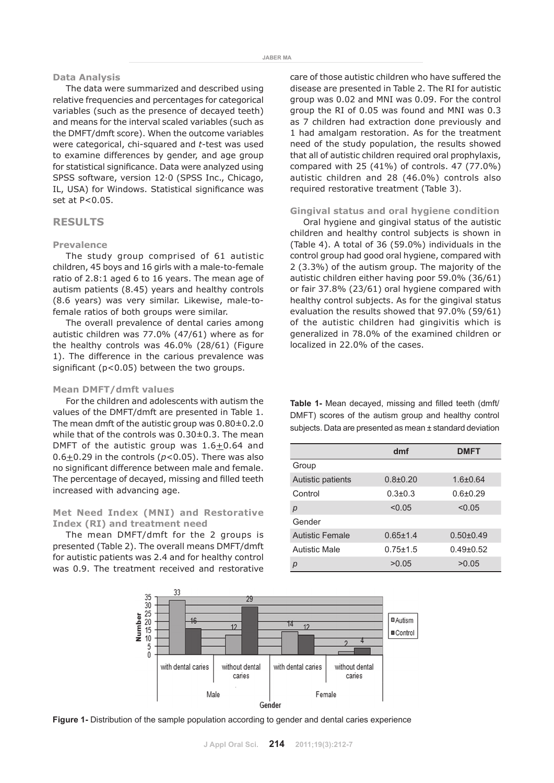#### **Data Analysis**

The data were summarized and described using relative frequencies and percentages for categorical variables (such as the presence of decayed teeth) and means for the interval scaled variables (such as the DMFT/dmft score). When the outcome variables were categorical, chi-squared and *t*-test was used to examine differences by gender, and age group for statistical significance. Data were analyzed using SPSS software, version 12.0 (SPSS Inc., Chicago, IL, USA) for Windows. Statistical significance was set at P<0.05.

# **RESULTS**

#### **Prevalence**

The study group comprised of 61 autistic children, 45 boys and 16 girls with a male-to-female ratio of 2.8:1 aged 6 to 16 years. The mean age of autism patients (8.45) years and healthy controls (8.6 years) was very similar. Likewise, male-tofemale ratios of both groups were similar.

The overall prevalence of dental caries among autistic children was 77.0% (47/61) where as for the healthy controls was 46.0% (28/61) (Figure 1). The difference in the carious prevalence was significant (p<0.05) between the two groups.

## **Mean DMFT/dmft values**

For the children and adolescents with autism the values of the DMFT/dmft are presented in Table 1. The mean dmft of the autistic group was 0.80±0.2.0 while that of the controls was 0.30±0.3. The mean DMFT of the autistic group was  $1.6 \pm 0.64$  and 0.6 $\pm$ 0.29 in the controls ( $p$ <0.05). There was also no significant difference between male and female. The percentage of decayed, missing and filled teeth increased with advancing age.

## **Met Need Index (MNI) and Restorative Index (RI) and treatment need**

The mean DMFT/dmft for the 2 groups is presented (Table 2). The overall means DMFT/dmft for autistic patients was 2.4 and for healthy control was 0.9. The treatment received and restorative

care of those autistic children who have suffered the disease are presented in Table 2. The RI for autistic group was 0.02 and MNI was 0.09. For the control group the RI of 0.05 was found and MNI was 0.3 as 7 children had extraction done previously and 1 had amalgam restoration. As for the treatment need of the study population, the results showed that all of autistic children required oral prophylaxis, compared with 25 (41%) of controls. 47 (77.0%) autistic children and 28 (46.0%) controls also required restorative treatment (Table 3).

## **Gingival status and oral hygiene condition**

Oral hygiene and gingival status of the autistic children and healthy control subjects is shown in (Table 4). A total of 36 (59.0%) individuals in the control group had good oral hygiene, compared with 2 (3.3%) of the autism group. The majority of the autistic children either having poor 59.0% (36/61) or fair 37.8% (23/61) oral hygiene compared with healthy control subjects. As for the gingival status evaluation the results showed that 97.0% (59/61) of the autistic children had gingivitis which is generalized in 78.0% of the examined children or localized in 22.0% of the cases.

**Table 1-** Mean decayed, missing and filled teeth (dmft/ DMFT) scores of the autism group and healthy control subjects. Data are presented as mean ± standard deviation

|                        | dmf            | <b>DMFT</b>   |  |  |
|------------------------|----------------|---------------|--|--|
| Group                  |                |               |  |  |
| Autistic patients      | $0.8 + 0.20$   | $1.6 + 0.64$  |  |  |
| Control                | $0.3 \pm 0.3$  | $0.6 + 0.29$  |  |  |
| р                      | < 0.05         | < 0.05        |  |  |
| Gender                 |                |               |  |  |
| <b>Autistic Female</b> | $0.65 \pm 1.4$ | $0.50 + 0.49$ |  |  |
| Autistic Male          | $0.75 + 1.5$   | $0.49 + 0.52$ |  |  |
| р                      | >0.05          | >0.05         |  |  |



**Figure 1-** Distribution of the sample population according to gender and dental caries experience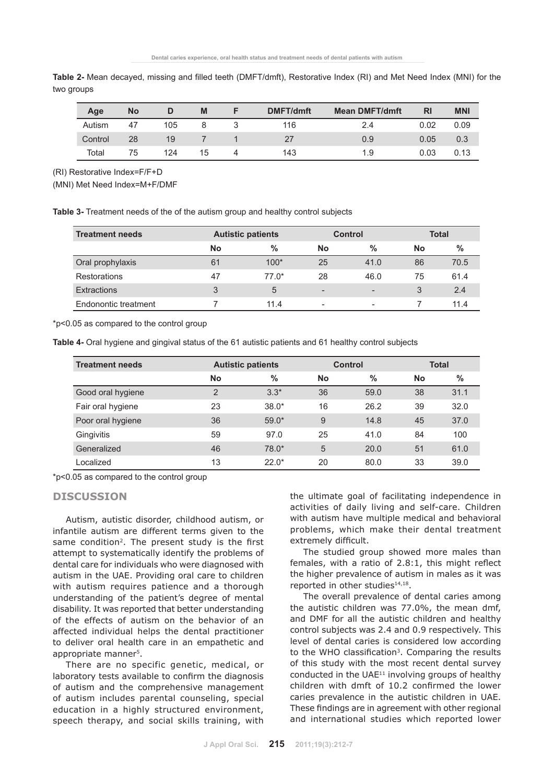| Age     | No |     | M  | <b>DMFT/dmft</b> | <b>Mean DMFT/dmft</b> | <b>RI</b> | <b>MNI</b> |
|---------|----|-----|----|------------------|-----------------------|-----------|------------|
| Autism  | 47 | 105 |    | 116              | 2.4                   | 0.02      | 0.09       |
| Control | 28 | 19  |    |                  | 0.9                   | 0.05      | 0.3        |
| Total   | 75 | 124 | 15 | 143              | 1.9                   | 0.03      | 0.13       |

**Table 2-** Mean decayed, missing and filled teeth (DMFT/dmft), Restorative Index (RI) and Met Need Index (MNI) for the two groups

(RI) Restorative Index=F/F+D

(MNI) Met Need Index=M+F/DMF

**Table 3-** Treatment needs of the of the autism group and healthy control subjects

| <b>Treatment needs</b> |    | <b>Autistic patients</b> |                          | Control                  |    | <b>Total</b> |  |
|------------------------|----|--------------------------|--------------------------|--------------------------|----|--------------|--|
|                        | No | $\%$                     | <b>No</b>                | $\%$                     | No | $\%$         |  |
| Oral prophylaxis       | 61 | $100*$                   | 25                       | 41.0                     | 86 | 70.5         |  |
| <b>Restorations</b>    | 47 | $77.0*$                  | 28                       | 46.0                     | 75 | 61.4         |  |
| <b>Extractions</b>     | 3  | 5                        | $\overline{\phantom{0}}$ | $\overline{\phantom{a}}$ | 3  | 2.4          |  |
| Endonontic treatment   |    | 11.4                     | $\overline{\phantom{a}}$ | $\overline{\phantom{a}}$ |    | 11.4         |  |

\*p<0.05 as compared to the control group

**Table 4-** Oral hygiene and gingival status of the 61 autistic patients and 61 healthy control subjects

| <b>Treatment needs</b> | <b>Autistic patients</b> |         | <b>Control</b> |      | <b>Total</b> |               |
|------------------------|--------------------------|---------|----------------|------|--------------|---------------|
|                        | No                       | $\%$    | <b>No</b>      | $\%$ | <b>No</b>    | $\frac{0}{0}$ |
| Good oral hygiene      | $\overline{2}$           | $3.3*$  | 36             | 59.0 | 38           | 31.1          |
| Fair oral hygiene      | 23                       | $38.0*$ | 16             | 26.2 | 39           | 32.0          |
| Poor oral hygiene      | 36                       | $59.0*$ | 9              | 14.8 | 45           | 37.0          |
| Gingivitis             | 59                       | 97.0    | 25             | 41.0 | 84           | 100           |
| Generalized            | 46                       | $78.0*$ | 5              | 20.0 | 51           | 61.0          |
| Localized              | 13                       | $22.0*$ | 20             | 80.0 | 33           | 39.0          |

\*p<0.05 as compared to the control group

# **DISCUSSION**

Autism, autistic disorder, childhood autism, or infantile autism are different terms given to the same condition<sup>2</sup>. The present study is the first attempt to systematically identify the problems of dental care for individuals who were diagnosed with autism in the UAE. Providing oral care to children with autism requires patience and a thorough understanding of the patient's degree of mental disability. It was reported that better understanding of the effects of autism on the behavior of an affected individual helps the dental practitioner to deliver oral health care in an empathetic and appropriate manner<sup>5</sup>.

There are no specific genetic, medical, or laboratory tests available to confirm the diagnosis of autism and the comprehensive management of autism includes parental counseling, special education in a highly structured environment, speech therapy, and social skills training, with the ultimate goal of facilitating independence in activities of daily living and self-care. Children with autism have multiple medical and behavioral problems, which make their dental treatment extremely difficult.

The studied group showed more males than females, with a ratio of 2.8:1, this might reflect the higher prevalence of autism in males as it was reported in other studies<sup>14,18</sup>.

The overall prevalence of dental caries among the autistic children was 77.0%, the mean dmf, and DMF for all the autistic children and healthy control subjects was 2.4 and 0.9 respectively. This level of dental caries is considered low according to the WHO classification<sup>3</sup>. Comparing the results of this study with the most recent dental survey conducted in the UAE<sup>11</sup> involving groups of healthy children with dmft of 10.2 confirmed the lower caries prevalence in the autistic children in UAE. These findings are in agreement with other regional and international studies which reported lower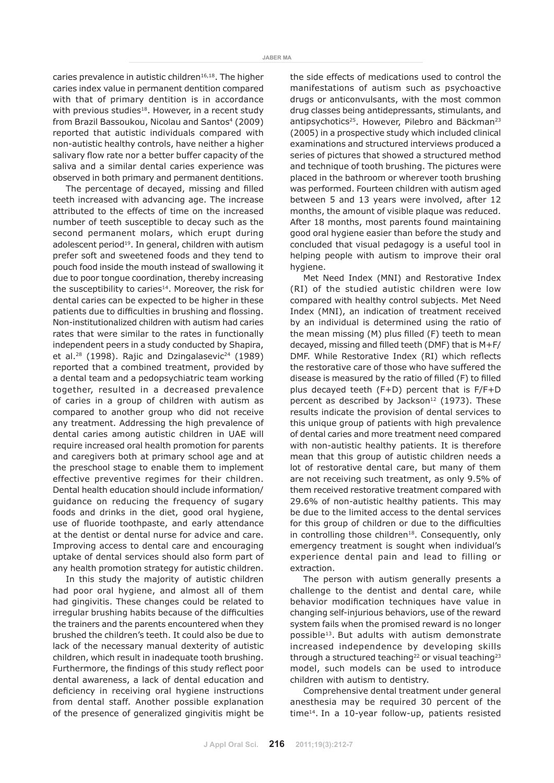caries prevalence in autistic children<sup>16,18</sup>. The higher caries index value in permanent dentition compared with that of primary dentition is in accordance with previous studies<sup>18</sup>. However, in a recent study from Brazil Bassoukou, Nicolau and Santos<sup>4</sup> (2009) reported that autistic individuals compared with non-autistic healthy controls, have neither a higher salivary flow rate nor a better buffer capacity of the saliva and a similar dental caries experience was observed in both primary and permanent dentitions.

The percentage of decayed, missing and filled teeth increased with advancing age. The increase attributed to the effects of time on the increased number of teeth susceptible to decay such as the second permanent molars, which erupt during adolescent period<sup>19</sup>. In general, children with autism prefer soft and sweetened foods and they tend to pouch food inside the mouth instead of swallowing it due to poor tongue coordination, thereby increasing the susceptibility to caries<sup>14</sup>. Moreover, the risk for dental caries can be expected to be higher in these patients due to difficulties in brushing and flossing. Non-institutionalized children with autism had caries rates that were similar to the rates in functionally independent peers in a study conducted by Shapira, et al.<sup>28</sup> (1998). Rajic and Dzingalasevic<sup>24</sup> (1989) reported that a combined treatment, provided by a dental team and a pedopsychiatric team working together, resulted in a decreased prevalence of caries in a group of children with autism as compared to another group who did not receive any treatment. Addressing the high prevalence of dental caries among autistic children in UAE will require increased oral health promotion for parents and caregivers both at primary school age and at the preschool stage to enable them to implement effective preventive regimes for their children. Dental health education should include information/ guidance on reducing the frequency of sugary foods and drinks in the diet, good oral hygiene, use of fluoride toothpaste, and early attendance at the dentist or dental nurse for advice and care. Improving access to dental care and encouraging uptake of dental services should also form part of any health promotion strategy for autistic children.

In this study the majority of autistic children had poor oral hygiene, and almost all of them had gingivitis. These changes could be related to irregular brushing habits because of the difficulties the trainers and the parents encountered when they brushed the children's teeth. It could also be due to lack of the necessary manual dexterity of autistic children, which result in inadequate tooth brushing. Furthermore, the findings of this study reflect poor dental awareness, a lack of dental education and deficiency in receiving oral hygiene instructions from dental staff. Another possible explanation of the presence of generalized gingivitis might be

the side effects of medications used to control the manifestations of autism such as psychoactive drugs or anticonvulsants, with the most common drug classes being antidepressants, stimulants, and antipsychotics<sup>25</sup>. However, Pilebro and Bäckman<sup>23</sup> (2005) in a prospective study which included clinical examinations and structured interviews produced a series of pictures that showed a structured method and technique of tooth brushing. The pictures were placed in the bathroom or wherever tooth brushing was performed. Fourteen children with autism aged between 5 and 13 years were involved, after 12 months, the amount of visible plaque was reduced. After 18 months, most parents found maintaining good oral hygiene easier than before the study and concluded that visual pedagogy is a useful tool in helping people with autism to improve their oral hygiene.

Met Need Index (MNI) and Restorative Index (RI) of the studied autistic children were low compared with healthy control subjects. Met Need Index (MNI), an indication of treatment received by an individual is determined using the ratio of the mean missing (M) plus filled (F) teeth to mean decayed, missing and filled teeth (DMF) that is M+F/ DMF. While Restorative Index (RI) which reflects the restorative care of those who have suffered the disease is measured by the ratio of filled (F) to filled plus decayed teeth (F+D) percent that is F/F+D percent as described by Jackson<sup>12</sup> (1973). These results indicate the provision of dental services to this unique group of patients with high prevalence of dental caries and more treatment need compared with non-autistic healthy patients. It is therefore mean that this group of autistic children needs a lot of restorative dental care, but many of them are not receiving such treatment, as only 9.5% of them received restorative treatment compared with 29.6% of non-autistic healthy patients. This may be due to the limited access to the dental services for this group of children or due to the difficulties in controlling those children<sup>18</sup>. Consequently, only emergency treatment is sought when individual's experience dental pain and lead to filling or extraction.

The person with autism generally presents a challenge to the dentist and dental care, while behavior modification techniques have value in changing self-injurious behaviors, use of the reward system fails when the promised reward is no longer possible<sup>13</sup>. But adults with autism demonstrate increased independence by developing skills through a structured teaching<sup>22</sup> or visual teaching<sup>23</sup> model, such models can be used to introduce children with autism to dentistry.

Comprehensive dental treatment under general anesthesia may be required 30 percent of the time14. In a 10-year follow-up, patients resisted